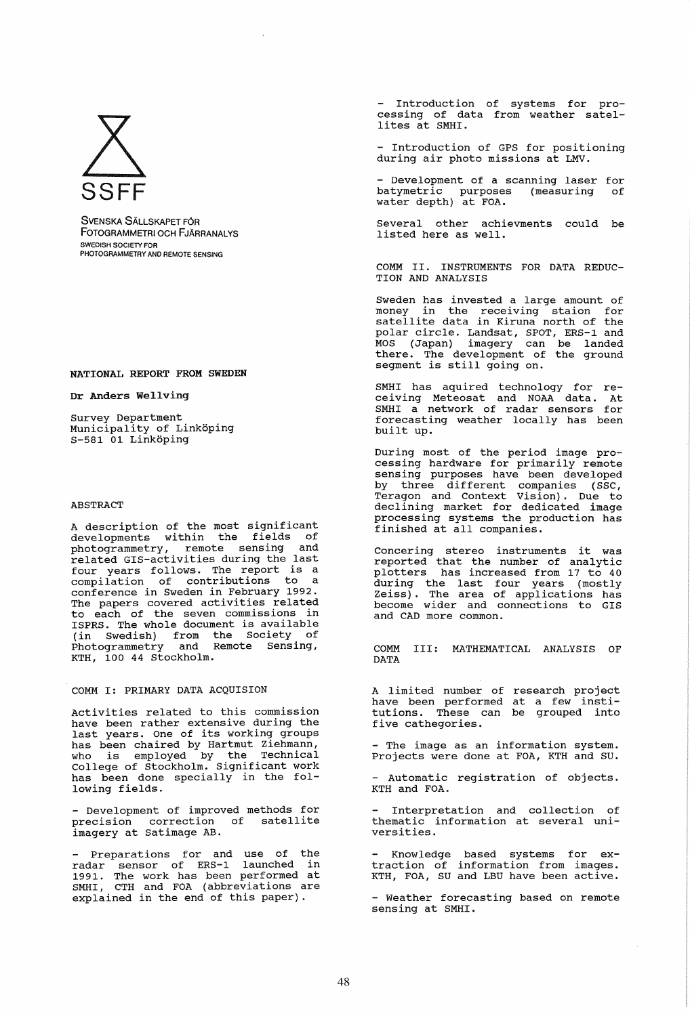

SVENSKA SÄLLSKAPET FÖR FOTOGRAMMETRI OCH FJARRANAlYS SWEDISH SOCIETY FOR PHOTOGRAMMETRY AND REMOTE SENSING

## NATIONAL REPORT FROM SWEDEN

## Dr Anders Wellving

Survey Department Municipality of Linköping S-581 01 Linkoping

## ABSTRACT

A description of the most significant developments within the fields of<br>photogrammetry remote sensing and photogrammetry, remote sensing related GIS-activities during the last<br>four years follows. The report is a compilation of contributions to a<br>conference in Sweden in February 1992. The papers covered activities related to each of the seven commissions in ISPRS. The whole document is available (in swedish) from the Society of Photogrammetry and Remote sensing, KTH, 100 44 Stockholm.

COMM I: PRIMARY DATA ACQUISION

Activities related to this commission have been rather extensive during the last years. One of its working groups has been chaired by Hartmut Ziehmann, who is employed by the Technical College of stockholm. Significant work has been done specially in the following fields.

- Development of improved methods for - beveropment of improved medical for imagery at satimage AB.

Preparations for and use of the radar sensor of ERS-l launched in 1991. The work has been performed at SMHI, CTH and FOA (abbreviations are explained in the end of this paper).

- Introduction of systems for processing of data from weather satellites at SMHI.

- Introduction of GPS for positioning during air photo missions at LMV.

- Development of a scanning laser for<br>batymetric purposes (measuring of batymetric purposes (measuring of water depth) at FOA.

Several other achievments could be listed here as well.

COMM II. INSTRUMENTS FOR DATA REDUC-TION AND ANALYSIS

Sweden has invested a large amount of money in the receiving staion for<br>satellite data in Kiruna north of the polar circle. Landsat, SPOT, ERS-l and MOS (Japan) imagery can be landed there. The development of the ground segment is still going on.

SMHI has aquired technology for re-<br>ceiving Meteosat and NOAA data. At SMHI a network of radar sensors for forecasting weather locally has been built up.

During most of the period image processing hardware for primarily remote sensing purposes have been developed by three different companies (SSC, Teragon and Context Vision). Due to declining market for dedicated image processing systems the production has finished at all companies.

Concering stereo instruments it was reported that the number of analytic plotters has increased from 17 to 40 during the last four years (mostly Zeiss). The area of applications has become wider and connections to GIS and CAD more common.

COMM III: MATHEMATICAL ANALYSIS OF DATA

A limited number of research project have been performed at a few institutions. These can be grouped into five cathegories.

- The image as an information system. Projects were done at FOA, KTH and SU.

- Automatic registration of objects. KTH and FOA.

Interpretation and collection of thematic information at several universities.

- Knowledge based systems for ex-<br>traction of information from images. KTH, FOA, SU and LBU have been active.

- Weather forecasting based on remote sensing at SMHI.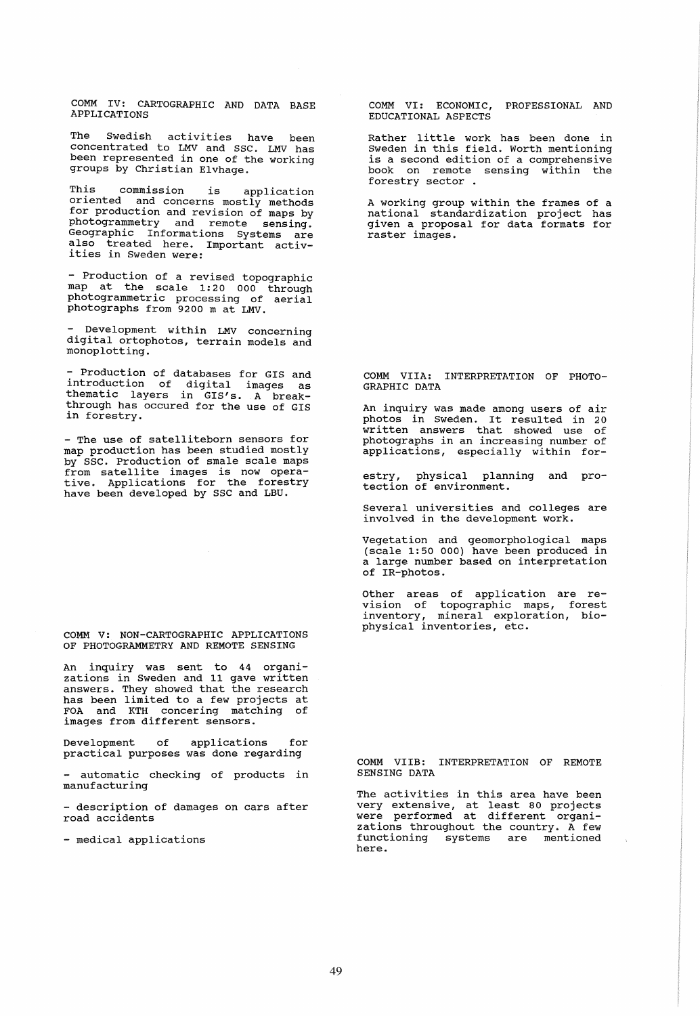COMM IV: CARTOGRAPHIC AND DATA BASE APPLICATIONS

The Swedish activities have been concentrated to LMV and SSC. LMV has been represented in one of the working groups by Christian Elvhage.

This commission is application oriented and concerns mostly methods for production and revision of maps by photogrammetry and remote sensing.<br>Geographic Informations Systems are Geographic Informations Systems are also treated here. Important activities in Sweden were:

- Production of a revised topographic map at the scale 1:20 000 through photogrammetric processing of aerial photographs from 9200 m at LMV.

Development within LMV concerning digital ortophotos, terrain models and monoplotting.

- Production of databases for GIS and introduction of digital images as thematic layers in GIS's. A breakthrough has occured for the use of GIS in forestry.

- The use of satelliteborn sensors for map production has been studied mostly by SSC. Production of smale scale maps by SSC: Troduction of Smare Scare maps<br>from satellite images is now operative. Applications for the forestry have been developed by SSC and LBU.

COMM V: NON-CARTOGRAPHIC APPLICATIONS OF PHOTOGRAMMETRY AND REMOTE SENSING

An inquiry was sent to 44 organizations in Sweden and 11 gave written answers. They showed that the research has been limited to a few projects at FOA and KTH concering matching of images from different sensors.

Development of applications for practical purposes was done regarding

- automatic checking of products in manufacturing

- description of damages on cars after road accidents

- medical applications

COMM VI: ECONOMIC, PROFESSIONAL AND EDUCATIONAL ASPECTS

Rather little work has been done in Sweden in this field. Worth mentioning is a second edition of a comprehensive book on remote sensing within the forestry sector .

A working group within the frames of a<br>national standardization project has given a proposal for data formats for raster images.

COMM VIlA: INTERPRETATION OF PHOTO-GRAPHIC DATA

An inquiry was made among users of air photos in Sweden. It resulted in 20 written answers that showed use of photographs in an increasing number of applications, especially within for-

estry, physical planning and protection of environment.

Several universities and colleges are involved in the development work.

vegetation and geomorphological maps (scale 1:50 000) have been produced in a large number based on interpretation of IR-photos.

Other areas of application are revision of topographic maps, forest inventory, mineral exploration, biophysical inventories, etc.

COMM VIIB: INTERPRETATION OF REMOTE SENSING DATA

The activities in this area have been very extensive, at least 80 projects were performed at different organizations throughout the country. A few functioning systems are mentioned here.